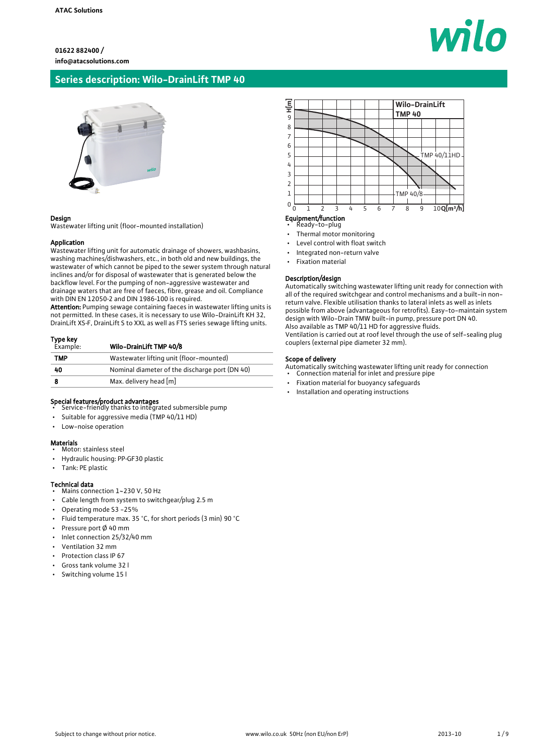## **Series description: Wilo-DrainLift TMP 40**



#### Design

Wastewater lifting unit (floor-mounted installation)

#### Application

Wastewater lifting unit for automatic drainage of showers, washbasins, washing machines/dishwashers, etc., in both old and new buildings, the wastewater of which cannot be piped to the sewer system through natural inclines and/or for disposal of wastewater that is generated below the backflow level. For the pumping of non-aggressive wastewater and drainage waters that are free of faeces, fibre, grease and oil. Compliance with DIN EN 12050‐2 and DIN 1986‐100 is required.

Attention: Pumping sewage containing faeces in wastewater lifting units is not permitted. In these cases, it is necessary to use Wilo-DrainLift KH 32, DrainLift XS‐F, DrainLift S to XXL as well as FTS series sewage lifting units.

## Type key<br>Example: Wilo-DrainLift TMP 40/8

| <b>TMP</b> | Wastewater lifting unit (floor-mounted)        |
|------------|------------------------------------------------|
| -40        | Nominal diameter of the discharge port (DN 40) |
|            | Max. delivery head [m]                         |

- Special features/product advantages Service-friendly thanks to integrated submersible pump
- Suitable for aggressive media (TMP 40/11 HD)
- Low-noise operation

#### Materials

- Motor: stainless steel
- Hydraulic housing: PP‐GF30 plastic
- Tank: PE plastic

#### Technical data

- Mains connection 1~230 V, 50 Hz
- Cable length from system to switchgear/plug 2.5 m
- Operating mode S3 -25%
- Fluid temperature max. 35 °C, for short periods (3 min) 90 °C
- Pressure port Ø 40 mm
- Inlet connection 25/32/40 mm
- Ventilation 32 mm
- Protection class IP 67
- Gross tank volume 32 l
- Switching volume 15 l



## Equipment/function

- Ready-to-plug • Thermal motor monitoring
- 
- Level control with float switch
- Integrated non-return valve
- Fixation material

#### Description/design

Automatically switching wastewater lifting unit ready for connection with all of the required switchgear and control mechanisms and a built-in nonreturn valve. Flexible utilisation thanks to lateral inlets as well as inlets possible from above (advantageous for retrofits). Easy-to-maintain system design with Wilo-Drain TMW built-in pump, pressure port DN 40. Also available as TMP 40/11 HD for aggressive fluids. Ventilation is carried out at roof level through the use of self-sealing plug couplers (external pipe diameter 32 mm).

#### Scope of delivery

- Automatically switching wastewater lifting unit ready for connection Connection material for inlet and pressure pipe
- 
- Fixation material for buoyancy safeguards
- Installation and operating instructions

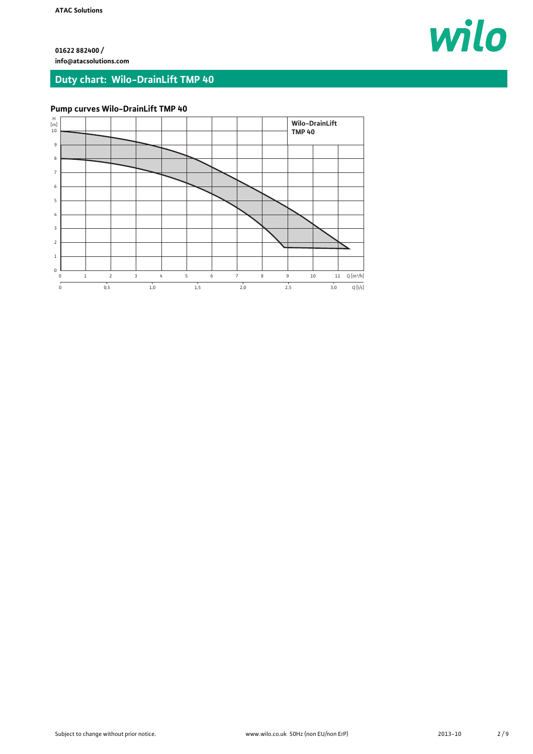wilo

**01622 882400 / info@atacsolutions.com**

## **Duty chart: Wilo-DrainLift TMP 40**

## **Pump curves Wilo-DrainLift TMP 40**

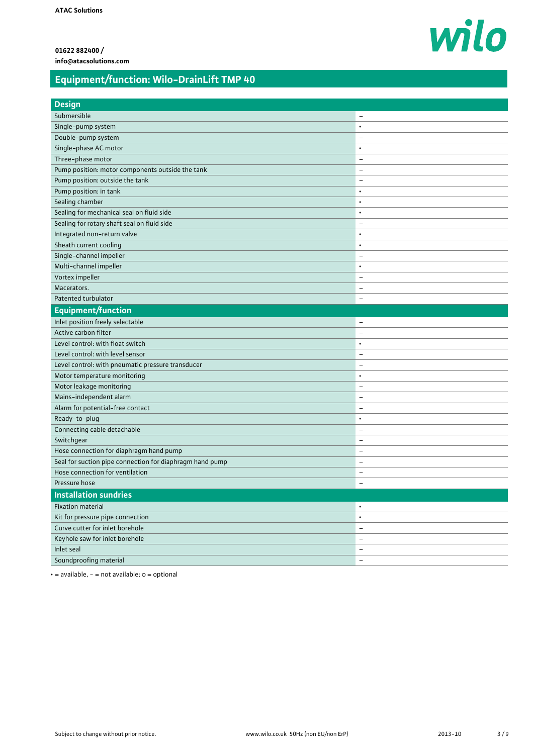# wilo

## **Equipment/function: Wilo-DrainLift TMP 40**

| <b>Design</b>                                            |                          |
|----------------------------------------------------------|--------------------------|
| Submersible                                              | $\overline{\phantom{0}}$ |
| Single-pump system                                       | $\bullet$                |
| Double-pump system                                       | $\overline{\phantom{0}}$ |
| Single-phase AC motor                                    | $\bullet$                |
| Three-phase motor                                        | $\overline{\phantom{0}}$ |
| Pump position: motor components outside the tank         | $\overline{\phantom{0}}$ |
| Pump position: outside the tank                          | $\overline{\phantom{0}}$ |
| Pump position: in tank                                   | $\bullet$                |
| Sealing chamber                                          | $\bullet$                |
| Sealing for mechanical seal on fluid side                | $\bullet$                |
| Sealing for rotary shaft seal on fluid side              | $\overline{\phantom{0}}$ |
| Integrated non-return valve                              | $\bullet$                |
| Sheath current cooling                                   | $\bullet$                |
| Single-channel impeller                                  | $\overline{\phantom{0}}$ |
| Multi-channel impeller                                   | $\bullet$                |
| Vortex impeller                                          | $\overline{\phantom{0}}$ |
| Macerators.                                              | $\overline{\phantom{0}}$ |
| Patented turbulator                                      | $\overline{\phantom{0}}$ |
| Equipment/function                                       |                          |
| Inlet position freely selectable                         | $\qquad \qquad -$        |
| Active carbon filter                                     | $\qquad \qquad -$        |
| Level control: with float switch                         | $\bullet$                |
| Level control: with level sensor                         | $\overline{\phantom{0}}$ |
| Level control: with pneumatic pressure transducer        | $\qquad \qquad -$        |
| Motor temperature monitoring                             | $\bullet$                |
| Motor leakage monitoring                                 | $\overline{\phantom{0}}$ |
| Mains-independent alarm                                  | $\overline{\phantom{0}}$ |
| Alarm for potential-free contact                         | $\overline{\phantom{0}}$ |
| Ready-to-plug                                            | $\bullet$                |
| Connecting cable detachable                              | $\overline{\phantom{0}}$ |
| Switchgear                                               | $\overline{\phantom{0}}$ |
| Hose connection for diaphragm hand pump                  | $\qquad \qquad -$        |
| Seal for suction pipe connection for diaphragm hand pump | $\qquad \qquad -$        |
| Hose connection for ventilation                          | $\overline{\phantom{0}}$ |
| Pressure hose                                            | $\overline{\phantom{0}}$ |
| <b>Installation sundries</b>                             |                          |
| <b>Fixation material</b>                                 | $\bullet$                |
| Kit for pressure pipe connection                         | $\bullet$                |
| Curve cutter for inlet borehole                          | -                        |
| Keyhole saw for inlet borehole                           | -                        |
| Inlet seal                                               | -                        |
| Soundproofing material                                   | $\qquad \qquad -$        |

 $\cdot$  = available, - = not available;  $o$  = optional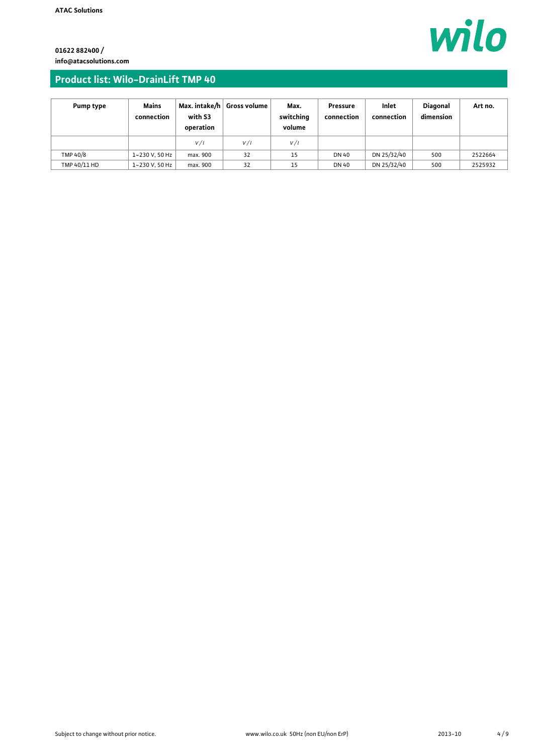wilo

**01622 882400 / info@atacsolutions.com**

## **Product list: Wilo-DrainLift TMP 40**

| <b>Pump type</b> | Mains<br>connection | Max. intake/h<br>with S3<br>operation | <b>Gross volume</b> | Max.<br>switching<br>volume | <b>Pressure</b><br>connection | Inlet<br>connection | <b>Diagonal</b><br>dimension | Art no. |
|------------------|---------------------|---------------------------------------|---------------------|-----------------------------|-------------------------------|---------------------|------------------------------|---------|
|                  |                     | V/I                                   | V/I                 | V/I                         |                               |                     |                              |         |
| TMP 40/8         | 1~230 V, 50 Hz      | max. 900                              | 32                  | 15                          | <b>DN 40</b>                  | DN 25/32/40         | 500                          | 2522664 |
| TMP 40/11 HD     | 1~230 V, 50 Hz      | max. 900                              | 32                  | 15                          | <b>DN 40</b>                  | DN 25/32/40         | 500                          | 2525932 |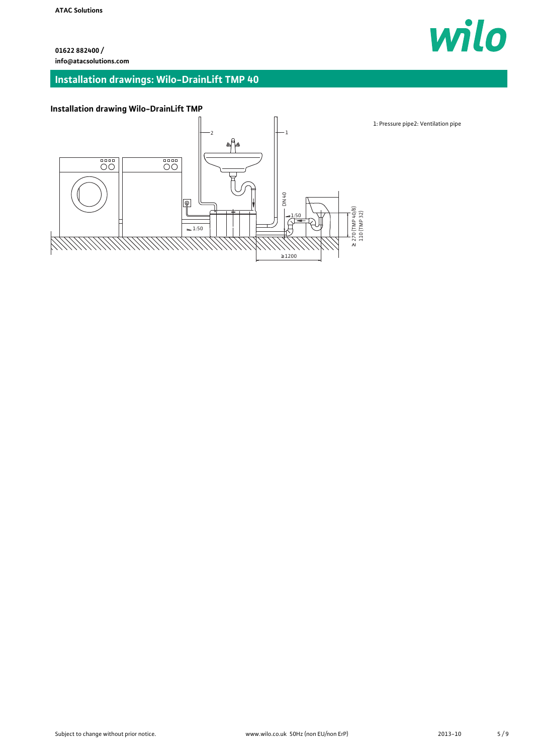## **Installation drawings: Wilo-DrainLift TMP 40**



## **Installation drawing Wilo-DrainLift TMP**

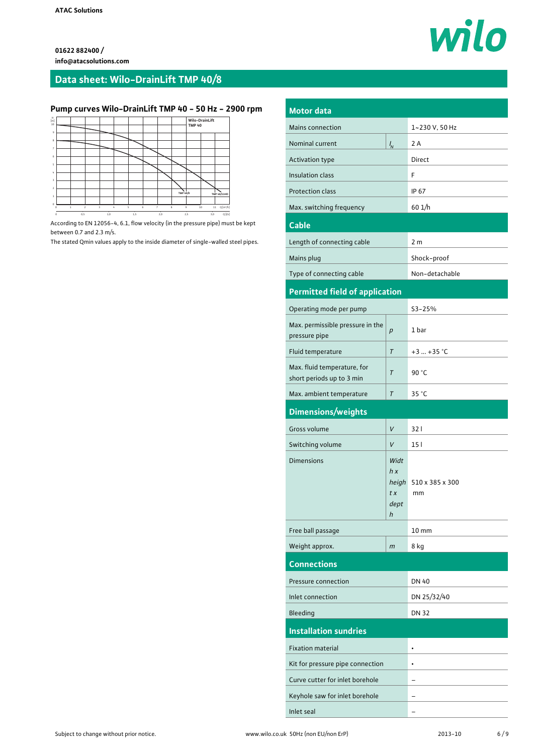## **Data sheet: Wilo-DrainLift TMP 40/8**

## **Pump curves Wilo-DrainLift TMP 40 - 50 Hz - 2900 rpm**



According to EN 12056-4, 6.1, flow velocity (in the pressure pipe) must be kept between 0.7 and 2.3 m/s.

The stated Qmin values apply to the inside diameter of single-walled steel pipes.

| <b>Motor data</b>                                        |                                         |                       |  |  |
|----------------------------------------------------------|-----------------------------------------|-----------------------|--|--|
| <b>Mains connection</b>                                  | 1~230 V, 50 Hz                          |                       |  |  |
| Nominal current                                          | $\frac{1}{N}$                           |                       |  |  |
| <b>Activation type</b>                                   | Direct                                  |                       |  |  |
| Insulation class                                         | F                                       |                       |  |  |
| <b>Protection class</b>                                  | IP 67                                   |                       |  |  |
| Max. switching frequency                                 | 601/h                                   |                       |  |  |
| <b>Cable</b>                                             |                                         |                       |  |  |
| Length of connecting cable                               |                                         | 2 m                   |  |  |
| Mains plug                                               |                                         | Shock-proof           |  |  |
| Type of connecting cable                                 |                                         | Non-detachable        |  |  |
| <b>Permitted field of application</b>                    |                                         |                       |  |  |
|                                                          |                                         | $S3 - 25%$            |  |  |
| Operating mode per pump                                  |                                         |                       |  |  |
| Max. permissible pressure in the<br>pressure pipe        | $\boldsymbol{p}$                        | 1 bar                 |  |  |
| Fluid temperature                                        | T                                       | $+3  +35 °C$          |  |  |
| Max. fluid temperature, for<br>short periods up to 3 min | $\tau$                                  |                       |  |  |
| Max. ambient temperature                                 | 35 °C                                   |                       |  |  |
|                                                          |                                         |                       |  |  |
|                                                          | $\tau$                                  |                       |  |  |
| Dimensions/weights<br>Gross volume                       | V                                       | 321                   |  |  |
| Switching volume                                         | V                                       | 15 <sub>1</sub>       |  |  |
| <b>Dimensions</b>                                        | Widt<br>h x<br>heigh<br>tx<br>dept<br>h | 510 x 385 x 300<br>mm |  |  |
| Free ball passage                                        |                                         | $10 \text{ mm}$       |  |  |
| Weight approx.                                           | m                                       | 8 kg                  |  |  |
| <b>Connections</b>                                       |                                         |                       |  |  |
| Pressure connection                                      |                                         | <b>DN 40</b>          |  |  |
| Inlet connection                                         |                                         | DN 25/32/40           |  |  |
| Bleeding                                                 |                                         | <b>DN 32</b>          |  |  |
| <b>Installation sundries</b>                             |                                         |                       |  |  |
| <b>Fixation material</b>                                 |                                         | ٠                     |  |  |
| Kit for pressure pipe connection                         |                                         | ۰                     |  |  |
| Curve cutter for inlet borehole                          |                                         |                       |  |  |
| Keyhole saw for inlet borehole                           |                                         |                       |  |  |

wilo

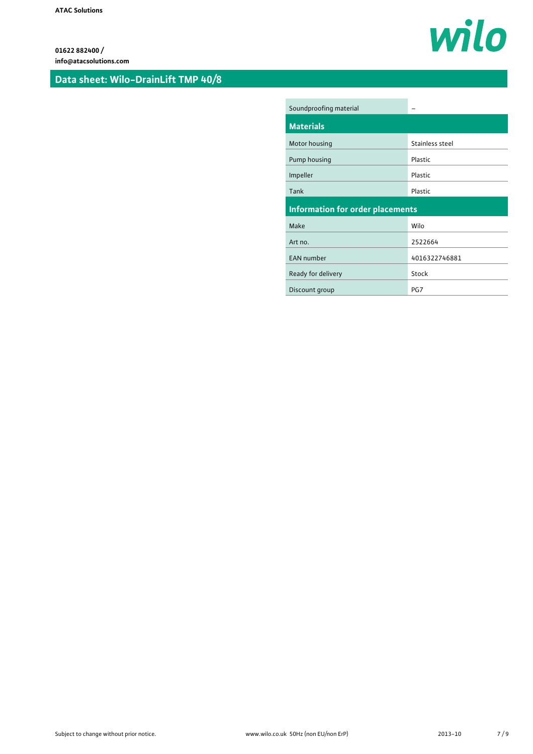## **Data sheet: Wilo-DrainLift TMP 40/8**



| Soundproofing material                  |                 |
|-----------------------------------------|-----------------|
| <b>Materials</b>                        |                 |
| Motor housing                           | Stainless steel |
| Pump housing                            | Plastic         |
| Impeller                                | Plastic         |
| Tank                                    | Plastic         |
|                                         |                 |
| <b>Information for order placements</b> |                 |
| Make                                    | Wilo            |
| Art no.                                 | 2522664         |
| <b>EAN number</b>                       | 4016322746881   |
| Ready for delivery                      | Stock           |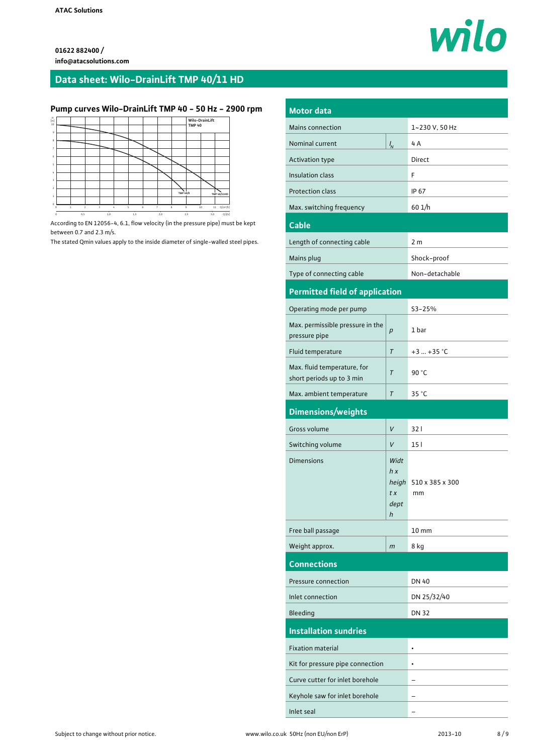## **Data sheet: Wilo-DrainLift TMP 40/11 HD**

## **Pump curves Wilo-DrainLift TMP 40 - 50 Hz - 2900 rpm**



According to EN 12056-4, 6.1, flow velocity (in the pressure pipe) must be kept between 0.7 and 2.3 m/s.

The stated Qmin values apply to the inside diameter of single-walled steel pipes.

| <b>Motor data</b>                                        |                |                       |  |  |
|----------------------------------------------------------|----------------|-----------------------|--|--|
| Mains connection                                         | 1~230 V, 50 Hz |                       |  |  |
| Nominal current                                          | $\frac{1}{N}$  |                       |  |  |
| Activation type                                          |                |                       |  |  |
| Insulation class                                         | F              |                       |  |  |
| <b>Protection class</b>                                  | <b>IP 67</b>   |                       |  |  |
| Max. switching frequency                                 | 601/h          |                       |  |  |
| <b>Cable</b>                                             |                |                       |  |  |
| Length of connecting cable                               |                | 2 m                   |  |  |
| Mains plug                                               |                | Shock-proof           |  |  |
| Type of connecting cable                                 |                | Non-detachable        |  |  |
| <b>Permitted field of application</b>                    |                |                       |  |  |
| Operating mode per pump                                  |                | S3-25%                |  |  |
| Max. permissible pressure in the                         |                |                       |  |  |
| pressure pipe                                            | p              | 1 bar                 |  |  |
| Fluid temperature                                        | $\tau$         | $+3+35$ °C            |  |  |
| Max. fluid temperature, for<br>short periods up to 3 min | $\tau$         | 90 °C                 |  |  |
| Max. ambient temperature                                 | T              | 35 °C                 |  |  |
|                                                          |                |                       |  |  |
| Dimensions/weights                                       |                |                       |  |  |
| Gross volume                                             | V              | 321                   |  |  |
| Switching volume                                         | V              | 15 <sub>1</sub>       |  |  |
| <b>Dimensions</b>                                        | Widt           |                       |  |  |
|                                                          | h x            |                       |  |  |
|                                                          | heigh<br>tx    | 510 x 385 x 300<br>mm |  |  |
|                                                          | dept           |                       |  |  |
|                                                          | h              |                       |  |  |
| Free ball passage                                        |                | $10 \, \text{mm}$     |  |  |
| Weight approx.                                           | m              | 8 kg                  |  |  |
| <b>Connections</b>                                       |                |                       |  |  |
| <b>Pressure connection</b>                               |                | <b>DN 40</b>          |  |  |
| Inlet connection                                         |                | DN 25/32/40           |  |  |
| Bleeding                                                 |                | <b>DN 32</b>          |  |  |
| <b>Installation sundries</b>                             |                |                       |  |  |
| <b>Fixation material</b>                                 |                | $\bullet$             |  |  |
| Kit for pressure pipe connection                         |                |                       |  |  |
| Curve cutter for inlet borehole                          |                |                       |  |  |
| Keyhole saw for inlet borehole                           |                |                       |  |  |

wilo